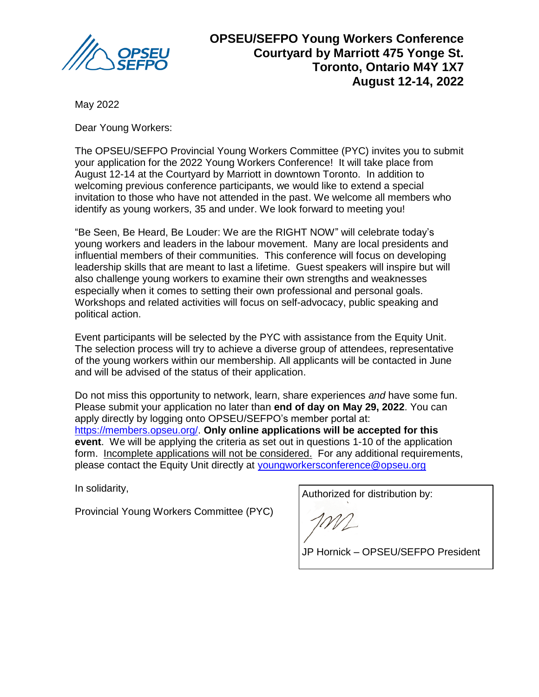

**OPSEU/SEFPO Young Workers Conference Courtyard by Marriott 475 Yonge St. Toronto, Ontario M4Y 1X7 August 12-14, 2022**

May 2022

Dear Young Workers:

The OPSEU/SEFPO Provincial Young Workers Committee (PYC) invites you to submit your application for the 2022 Young Workers Conference! It will take place from August 12-14 at the Courtyard by Marriott in downtown Toronto. In addition to welcoming previous conference participants, we would like to extend a special invitation to those who have not attended in the past. We welcome all members who identify as young workers, 35 and under. We look forward to meeting you!

"Be Seen, Be Heard, Be Louder: We are the RIGHT NOW" will celebrate today's young workers and leaders in the labour movement. Many are local presidents and influential members of their communities. This conference will focus on developing leadership skills that are meant to last a lifetime. Guest speakers will inspire but will also challenge young workers to examine their own strengths and weaknesses especially when it comes to setting their own professional and personal goals. Workshops and related activities will focus on self-advocacy, public speaking and political action.

Event participants will be selected by the PYC with assistance from the Equity Unit. The selection process will try to achieve a diverse group of attendees, representative of the young workers within our membership. All applicants will be contacted in June and will be advised of the status of their application.

Do not miss this opportunity to network, learn, share experiences *and* have some fun. Please submit your application no later than **end of day on May 29, 2022**. You can apply directly by logging onto OPSEU/SEFPO's member portal at: [https://members.opseu.org/.](https://members.opseu.org/) **Only online applications will be accepted for this event**. We will be applying the criteria as set out in questions 1-10 of the application form. Incomplete applications will not be considered. For any additional requirements, please contact the Equity Unit directly at [youngworkersconference@opseu.org](mailto:youngworkersconference@opseu.org)

In solidarity,

Provincial Young Workers Committee (PYC)

Authorized for distribution by:

JP Hornick – OPSEU/SEFPO President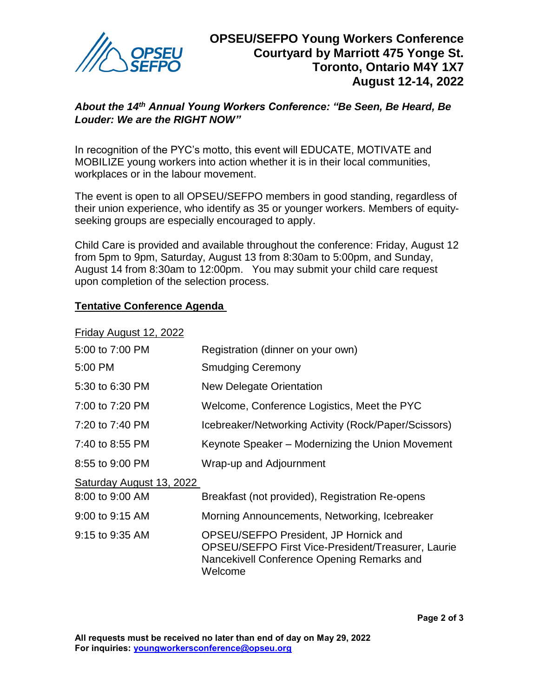

## *About the 14th Annual Young Workers Conference: "Be Seen, Be Heard, Be Louder: We are the RIGHT NOW"*

In recognition of the PYC's motto, this event will EDUCATE, MOTIVATE and MOBILIZE young workers into action whether it is in their local communities, workplaces or in the labour movement.

The event is open to all OPSEU/SEFPO members in good standing, regardless of their union experience, who identify as 35 or younger workers. Members of equityseeking groups are especially encouraged to apply.

Child Care is provided and available throughout the conference: Friday, August 12 from 5pm to 9pm, Saturday, August 13 from 8:30am to 5:00pm, and Sunday, August 14 from 8:30am to 12:00pm. You may submit your child care request upon completion of the selection process.

## **Tentative Conference Agenda**

Friday August 12, 2022

| 5:00 to 7:00 PM          | Registration (dinner on your own)                                                                                                                    |
|--------------------------|------------------------------------------------------------------------------------------------------------------------------------------------------|
| 5:00 PM                  | <b>Smudging Ceremony</b>                                                                                                                             |
| 5:30 to 6:30 PM          | <b>New Delegate Orientation</b>                                                                                                                      |
| 7:00 to 7:20 PM          | Welcome, Conference Logistics, Meet the PYC                                                                                                          |
| 7:20 to 7:40 PM          | Icebreaker/Networking Activity (Rock/Paper/Scissors)                                                                                                 |
| 7:40 to 8:55 PM          | Keynote Speaker - Modernizing the Union Movement                                                                                                     |
| 8:55 to 9:00 PM          | Wrap-up and Adjournment                                                                                                                              |
| Saturday August 13, 2022 |                                                                                                                                                      |
| 8:00 to 9:00 AM          | Breakfast (not provided), Registration Re-opens                                                                                                      |
| 9:00 to 9:15 AM          | Morning Announcements, Networking, Icebreaker                                                                                                        |
| 9:15 to 9:35 AM          | OPSEU/SEFPO President, JP Hornick and<br>OPSEU/SEFPO First Vice-President/Treasurer, Laurie<br>Nancekivell Conference Opening Remarks and<br>Welcome |